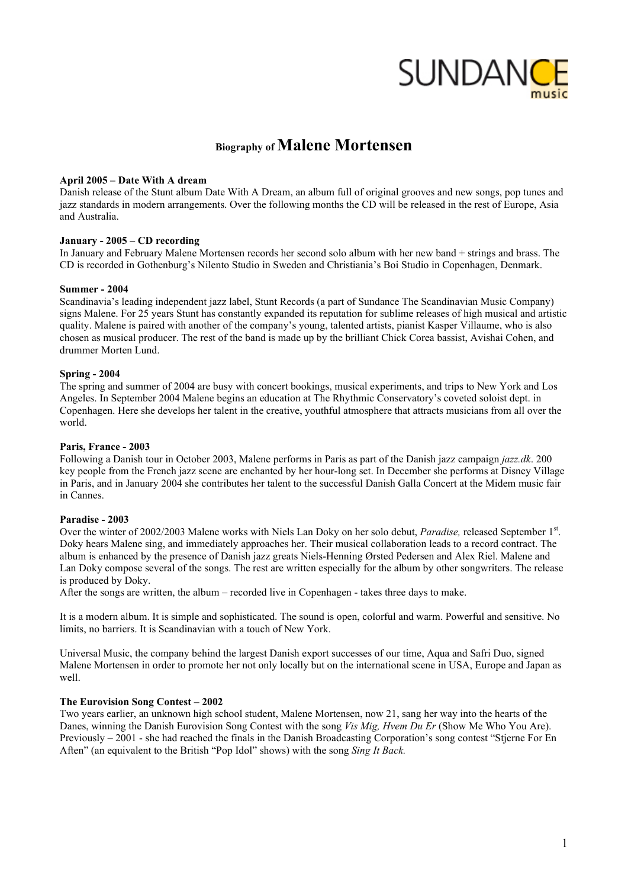

# **Biography of Malene Mortensen**

## **April 2005 – Date With A dream**

Danish release of the Stunt album Date With A Dream, an album full of original grooves and new songs, pop tunes and jazz standards in modern arrangements. Over the following months the CD will be released in the rest of Europe, Asia and Australia.

## **January - 2005 – CD recording**

In January and February Malene Mortensen records her second solo album with her new band + strings and brass. The CD is recorded in Gothenburg's Nilento Studio in Sweden and Christiania's Boi Studio in Copenhagen, Denmark.

#### **Summer - 2004**

Scandinavia's leading independent jazz label, Stunt Records (a part of Sundance The Scandinavian Music Company) signs Malene. For 25 years Stunt has constantly expanded its reputation for sublime releases of high musical and artistic quality. Malene is paired with another of the company's young, talented artists, pianist Kasper Villaume, who is also chosen as musical producer. The rest of the band is made up by the brilliant Chick Corea bassist, Avishai Cohen, and drummer Morten Lund.

### **Spring - 2004**

The spring and summer of 2004 are busy with concert bookings, musical experiments, and trips to New York and Los Angeles. In September 2004 Malene begins an education at The Rhythmic Conservatory's coveted soloist dept. in Copenhagen. Here she develops her talent in the creative, youthful atmosphere that attracts musicians from all over the world.

## **Paris, France - 2003**

Following a Danish tour in October 2003, Malene performs in Paris as part of the Danish jazz campaign *jazz.dk*. 200 key people from the French jazz scene are enchanted by her hour-long set. In December she performs at Disney Village in Paris, and in January 2004 she contributes her talent to the successful Danish Galla Concert at the Midem music fair in Cannes.

#### **Paradise - 2003**

Over the winter of 2002/2003 Malene works with Niels Lan Doky on her solo debut, *Paradise*, released September 1<sup>st</sup>. Doky hears Malene sing, and immediately approaches her. Their musical collaboration leads to a record contract. The album is enhanced by the presence of Danish jazz greats Niels-Henning Ørsted Pedersen and Alex Riel. Malene and Lan Doky compose several of the songs. The rest are written especially for the album by other songwriters. The release is produced by Doky.

After the songs are written, the album – recorded live in Copenhagen - takes three days to make.

It is a modern album. It is simple and sophisticated. The sound is open, colorful and warm. Powerful and sensitive. No limits, no barriers. It is Scandinavian with a touch of New York.

Universal Music, the company behind the largest Danish export successes of our time, Aqua and Safri Duo, signed Malene Mortensen in order to promote her not only locally but on the international scene in USA, Europe and Japan as well.

#### **The Eurovision Song Contest – 2002**

Two years earlier, an unknown high school student, Malene Mortensen, now 21, sang her way into the hearts of the Danes, winning the Danish Eurovision Song Contest with the song *Vis Mig, Hvem Du Er* (Show Me Who You Are). Previously – 2001 - she had reached the finals in the Danish Broadcasting Corporation's song contest "Stjerne For En Aften" (an equivalent to the British "Pop Idol" shows) with the song *Sing It Back.*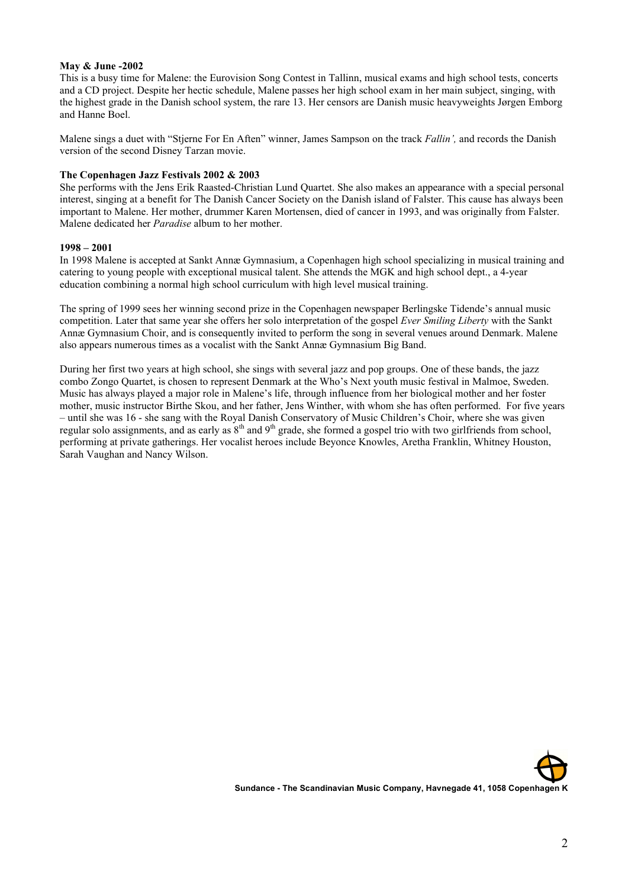## **May & June -2002**

This is a busy time for Malene: the Eurovision Song Contest in Tallinn, musical exams and high school tests, concerts and a CD project. Despite her hectic schedule, Malene passes her high school exam in her main subject, singing, with the highest grade in the Danish school system, the rare 13. Her censors are Danish music heavyweights Jørgen Emborg and Hanne Boel.

Malene sings a duet with "Stjerne For En Aften" winner, James Sampson on the track *Fallin',* and records the Danish version of the second Disney Tarzan movie.

## **The Copenhagen Jazz Festivals 2002 & 2003**

She performs with the Jens Erik Raasted-Christian Lund Quartet. She also makes an appearance with a special personal interest, singing at a benefit for The Danish Cancer Society on the Danish island of Falster. This cause has always been important to Malene. Her mother, drummer Karen Mortensen, died of cancer in 1993, and was originally from Falster. Malene dedicated her *Paradise* album to her mother.

## **1998 – 2001**

In 1998 Malene is accepted at Sankt Annæ Gymnasium, a Copenhagen high school specializing in musical training and catering to young people with exceptional musical talent. She attends the MGK and high school dept., a 4-year education combining a normal high school curriculum with high level musical training.

The spring of 1999 sees her winning second prize in the Copenhagen newspaper Berlingske Tidende's annual music competition. Later that same year she offers her solo interpretation of the gospel *Ever Smiling Liberty* with the Sankt Annæ Gymnasium Choir, and is consequently invited to perform the song in several venues around Denmark. Malene also appears numerous times as a vocalist with the Sankt Annæ Gymnasium Big Band.

During her first two years at high school, she sings with several jazz and pop groups. One of these bands, the jazz combo Zongo Quartet, is chosen to represent Denmark at the Who's Next youth music festival in Malmoe, Sweden. Music has always played a major role in Malene's life, through influence from her biological mother and her foster mother, music instructor Birthe Skou, and her father, Jens Winther, with whom she has often performed. For five years – until she was 16 - she sang with the Royal Danish Conservatory of Music Children's Choir, where she was given regular solo assignments, and as early as  $8<sup>th</sup>$  and  $9<sup>th</sup>$  grade, she formed a gospel trio with two girlfriends from school, performing at private gatherings. Her vocalist heroes include Beyonce Knowles, Aretha Franklin, Whitney Houston, Sarah Vaughan and Nancy Wilson.